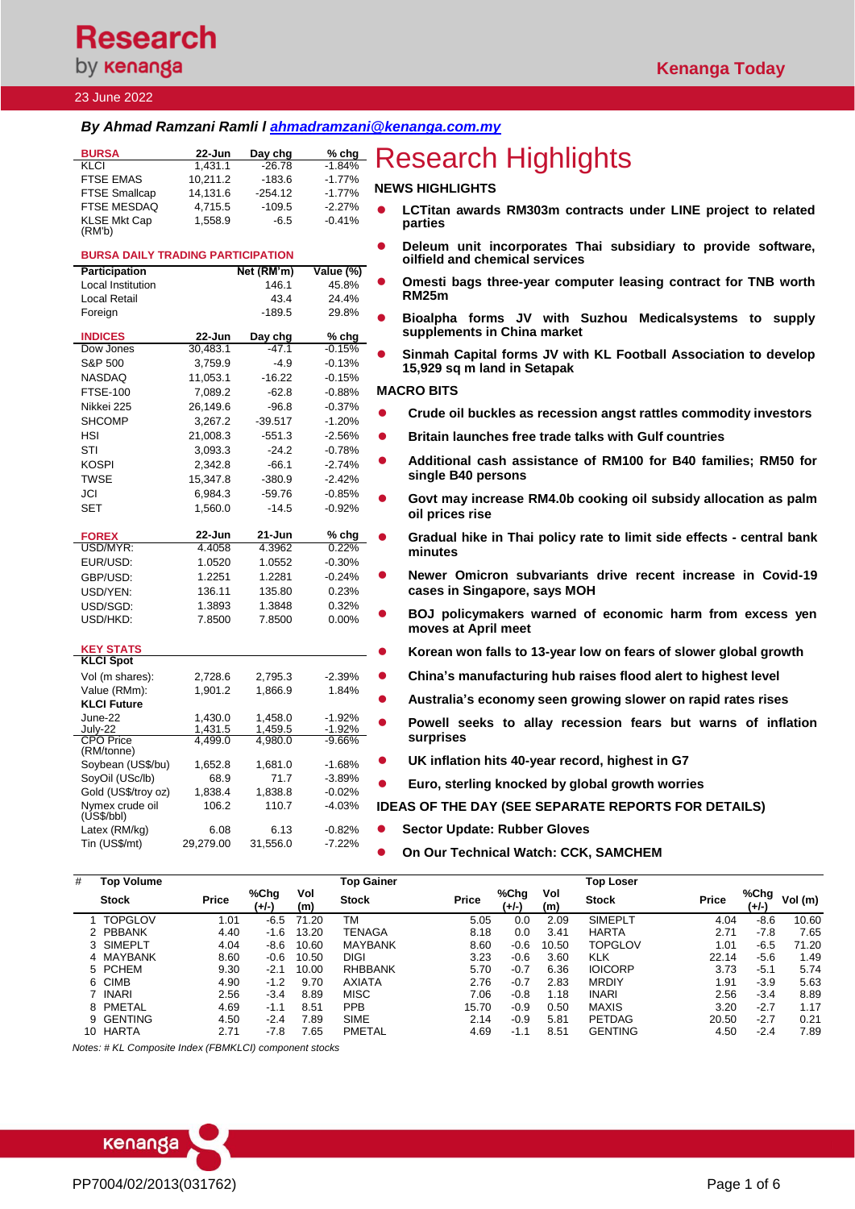# **Research** by **kenanga**

### 23 June 2022

USD/MYR:

USD/HKD:

**KEY STATS KLCI Spot**

**KLCI Future**

CPO Price (RM/tonne)

Nymex crude oil (US\$/bbl)

### *By Ahmad Ramzani Ramli l [ahmadramzani@kenanga.com.my](mailto:ahmadramzani@kenanga.com.my)*

FTSE-100 7,089.2 -62.8 -0.88% Nikkei 225 26,149.6 -96.8 -0.37% SHCOMP 3.267.2 -39.517 -1.20% HSI 21,008.3 -551.3 -2.56% STI 3,093.3 -24.2 -0.78% KOSPI 2,342.8 -66.1 -2.74%<br>TWSE 15,347.8 -380.9 -2.42%

JCI 6,984.3 -59.76 -0.85%  $1,560.0$ 

**FOREX 22-Jun 21-Jun % chg**

EUR/USD: 1.0520 1.0552 -0.30% GBP/USD: 1.2251 1.2281 -0.24% USD/YEN: 136.11 135.80 0.23% USD/SGD: 1.3893 1.3848 0.32%<br>USD/HKD: 7.8500 7.8500 0.00%

Vol (m shares): 2,728.6 2,795.3 -2.39%

June-22 1,430.0 1,458.0 -1.92% July-22 1,431.5 1,459.5 -1.92%

Soybean (US\$/bu) 1,652.8 1,681.0 -1.68%

Gold (US\$/troy oz) 1,838.4 1,838.8 -0.02%

Latex (RM/kg) 6.08 6.13 -0.82% Tin (US\$/mt) 29,279.00 31,556.0 -7.22%

Value (RMm): 1.901.2 1.866.9

SoyOil (USc/lb) 68.9 71.7

TWSE 15,347.8 -380.9 -2.42%

4,499.0 4,980.0 -9.66%

106.2 110.7 -4.03%

| <b>BURSA</b>                             | 22-Jun     | Day chg    |           | <b><i><u><b>Englering</b></u></i> Research Highlights</b>                                       |
|------------------------------------------|------------|------------|-----------|-------------------------------------------------------------------------------------------------|
| <b>KLCI</b>                              | 1.431.1    | $-26.78$   | $-1.84%$  |                                                                                                 |
| <b>FTSE EMAS</b>                         | 10.211.2   | $-183.6$   | $-1.77%$  |                                                                                                 |
| <b>FTSE Smallcap</b>                     | 14.131.6   | $-254.12$  | $-1.77%$  | <b>NEWS HIGHLIGHTS</b>                                                                          |
| FTSE MESDAQ                              | 4.715.5    | $-109.5$   | $-2.27%$  | LCTitan awards RM303m contracts under LINE project to related                                   |
| <b>KLSE Mkt Cap</b><br>(RM'b)            | 1.558.9    | $-6.5$     | $-0.41%$  | parties                                                                                         |
| <b>BURSA DAILY TRADING PARTICIPATION</b> |            |            |           | Deleum unit incorporates Thai subsidiary to provide software,<br>oilfield and chemical services |
| Participation                            |            | Net (RM'm) | Value (%) |                                                                                                 |
| Local Institution                        |            | 146.1      | 45.8%     | Omesti bags three-year computer leasing contract for TNB worth                                  |
| Local Retail                             |            | 43.4       | 24.4%     | RM <sub>25</sub> m                                                                              |
| Foreign                                  |            | $-189.5$   | 29.8%     | Bioalpha forms JV with Suzhou<br>Medicalsystems to<br>supply                                    |
| <b>INDICES</b>                           | $22 - Jun$ | Day chg    | $%$ chg   | supplements in China market                                                                     |
| Dow Jones                                | 30,483.1   | $-47.1$    | $-0.15%$  | Sinmah Capital forms JV with KL Football Association to develop                                 |
| S&P 500                                  | 3,759.9    | $-4.9$     | $-0.13%$  | 15,929 sq m land in Setapak                                                                     |
| <b>NASDAQ</b>                            | 11.053.1   | $-16.22$   | $-0.15%$  |                                                                                                 |

#### **MACRO BITS**

- ⚫ **[Crude oil buckles as recession angst rattles commodity investors](https://www.theedgemarkets.com/article/crude-oil-buckles-recession-angst-rattles-commodity-investors)**
- ⚫ **[Britain launches free trade talks with Gulf countries](https://www.reuters.com/markets/britain-launches-free-trade-talks-with-gulf-countries-2022-06-21/)**
- Additional cash assistance of RM100 for B40 families; RM50 for **[single B40 persons](https://www.theedgemarkets.com/article/pm-announces-additional-bantuan-keluarga-malaysia-cash-aid-rm100-b40-families-single-b40)**
- ⚫ **[Govt may increase RM4.0b cooking oil subsidy allocation as palm](https://www.theedgemarkets.com/article/pm-govt-keep-2022-cooking-oil-subsidy-allocation-rm4-bil)  [oil prices rise](https://www.theedgemarkets.com/article/pm-govt-keep-2022-cooking-oil-subsidy-allocation-rm4-bil)**
- ⚫ **[Gradual hike in Thai policy rate to limit side effects -](https://www.channelnewsasia.com/business/gradual-hike-thai-policy-rate-limit-side-effects-central-bank-minutes-2762226) central bank [minutes](https://www.channelnewsasia.com/business/gradual-hike-thai-policy-rate-limit-side-effects-central-bank-minutes-2762226)**
- ⚫ **[Newer Omicron subvariants drive recent increase in Covid-19](https://www.theedgemarkets.com/article/newer-omicron-subvariants-drive-recent-increase-covid19-cases-singapore-says-moh)  [cases in Singapore, says MOH](https://www.theedgemarkets.com/article/newer-omicron-subvariants-drive-recent-increase-covid19-cases-singapore-says-moh)**
- ⚫ **[BOJ policymakers warned of economic harm from excess yen](https://www.reuters.com/article/japan-economy-boj/boj-policymakers-warned-of-economic-harm-from-excess-yen-moves-at-april-meet-idUSKBN2O3014)  [moves at April meet](https://www.reuters.com/article/japan-economy-boj/boj-policymakers-warned-of-economic-harm-from-excess-yen-moves-at-april-meet-idUSKBN2O3014)**
- ⚫ **[Korean won falls to 13-year low on fears of slower global growth](https://www.bloomberg.com/news/articles/2022-06-22/korean-won-falls-to-13-year-low-on-fears-of-slower-global-growth#xj4y7vzkg)**
- ⚫ **[China's manufacturing hub raises flood alert to highest level](https://www.theedgemarkets.com/article/chinas-manufacturing-hub-raises-flood-alert-highest-level)**
- ⚫ **[Australia's economy seen growing slower on rapid rates rises](https://www.bloomberg.com/news/articles/2022-06-22/australia-s-economy-seen-growing-slower-as-interest-rates-rise)**
- ⚫ **[Powell seeks to allay recession fears but warns of inflation](https://www.ft.com/content/3e3dedc4-5ece-4a35-84c7-e3e670c29c72)  [surprises](https://www.ft.com/content/3e3dedc4-5ece-4a35-84c7-e3e670c29c72)**
- ⚫ **[UK inflation hits 40-year record, highest in G7](https://www.reuters.com/markets/europe/uk-inflation-hits-91-may-2022-06-22/)**
- ⚫ **[Euro, sterling knocked by global growth worries](https://www.reuters.com/markets/europe/yen-bruised-japans-rates-gap-widens-with-rest-world-2022-06-22/)**

**IDEAS OF THE DAY (SEE SEPARATE REPORTS FOR DETAILS)**

- ⚫ **Sector Update: Rubber Gloves**
- ⚫ **On Our Technical Watch: CCK, SAMCHEM**

| # | <b>Top Volume</b> |       |               |            | <b>Top Gainer</b> |       |                 |            | <b>Top Loser</b> |              |               |         |
|---|-------------------|-------|---------------|------------|-------------------|-------|-----------------|------------|------------------|--------------|---------------|---------|
|   | <b>Stock</b>      | Price | %Chg<br>(+/-) | Vol<br>(m) | <b>Stock</b>      | Price | %Chg<br>$(+/-)$ | Vol<br>(m) | <b>Stock</b>     | <b>Price</b> | %Chg<br>(+/-) | Vol (m) |
|   | <b>TOPGLOV</b>    | 1.01  | $-6.5$        | 71.20      | ТM                | 5.05  | 0.0             | 2.09       | <b>SIMEPLT</b>   | 4.04         | $-8.6$        | 10.60   |
|   | 2 PBBANK          | 4.40  | -1.6          | 3.20       | TENAGA            | 8.18  | 0.0             | 3.41       | <b>HARTA</b>     | 2.71         | $-7.8$        | 7.65    |
|   | 3 SIMEPLT         | 4.04  | -8.6          | 10.60      | <b>MAYBANK</b>    | 8.60  | $-0.6$          | 10.50      | <b>TOPGLOV</b>   | 1.01         | $-6.5$        | 71.20   |
|   | 4 MAYBANK         | 8.60  | $-0.6$        | 10.50      | <b>DIGI</b>       | 3.23  | $-0.6$          | 3.60       | <b>KLK</b>       | 22.14        | $-5.6$        | 1.49    |
|   | 5 PCHEM           | 9.30  | $-2.1$        | 10.00      | <b>RHBBANK</b>    | 5.70  | $-0.7$          | 6.36       | <b>IOICORP</b>   | 3.73         | $-5.1$        | 5.74    |
|   | 6 CIMB            | 4.90  | $-1.2$        | 9.70       | <b>AXIATA</b>     | 2.76  | $-0.7$          | 2.83       | <b>MRDIY</b>     | 1.91         | $-3.9$        | 5.63    |
|   | 7 INARI           | 2.56  | $-3.4$        | 8.89       | <b>MISC</b>       | 7.06  | $-0.8$          | 1.18       | <b>INARI</b>     | 2.56         | $-3.4$        | 8.89    |
|   | 8 PMETAL          | 4.69  | $-1.1$        | 8.51       | <b>PPB</b>        | 15.70 | $-0.9$          | 0.50       | <b>MAXIS</b>     | 3.20         | $-2.7$        | 1.17    |
|   | 9 GENTING         | 4.50  | $-2.4$        | 7.89       | <b>SIME</b>       | 2.14  | $-0.9$          | 5.81       | <b>PETDAG</b>    | 20.50        | $-2.7$        | 0.21    |
|   | 10 HARTA          | 2.71  | -7.8          | 7.65       | <b>PMETAL</b>     | 4.69  | -1.1            | 8.51       | <b>GENTING</b>   | 4.50         | $-2.4$        | 7.89    |

*Notes: # KL Composite Index (FBMKLCI) component stocks*

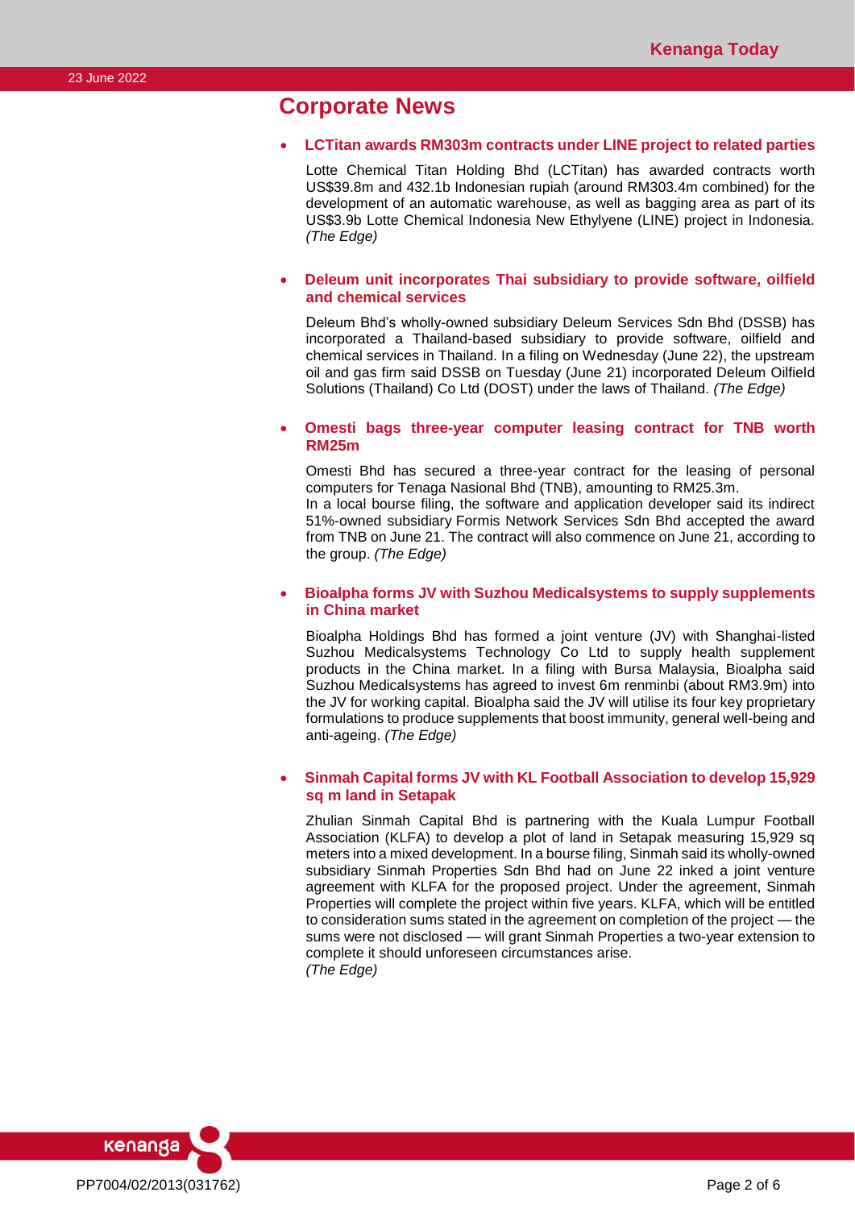# **Corporate News**

### • **LCTitan awards RM303m contracts under LINE project to related parties**

Lotte Chemical Titan Holding Bhd (LCTitan) has awarded contracts worth US\$39.8m and 432.1b Indonesian rupiah (around RM303.4m combined) for the development of an automatic warehouse, as well as bagging area as part of its US\$3.9b Lotte Chemical Indonesia New Ethylyene (LINE) project in Indonesia. *(The Edge)*

### • **Deleum unit incorporates Thai subsidiary to provide software, oilfield and chemical services**

Deleum Bhd's wholly-owned subsidiary Deleum Services Sdn Bhd (DSSB) has incorporated a Thailand-based subsidiary to provide software, oilfield and chemical services in Thailand. In a filing on Wednesday (June 22), the upstream oil and gas firm said DSSB on Tuesday (June 21) incorporated Deleum Oilfield Solutions (Thailand) Co Ltd (DOST) under the laws of Thailand. *(The Edge)*

### • **Omesti bags three-year computer leasing contract for TNB worth RM25m**

Omesti Bhd has secured a three-year contract for the leasing of personal computers for Tenaga Nasional Bhd (TNB), amounting to RM25.3m. In a local bourse filing, the software and application developer said its indirect 51%-owned subsidiary Formis Network Services Sdn Bhd accepted the award from TNB on June 21. The contract will also commence on June 21, according to the group. *(The Edge)*

### • **Bioalpha forms JV with Suzhou Medicalsystems to supply supplements in China market**

Bioalpha Holdings Bhd has formed a joint venture (JV) with Shanghai-listed Suzhou Medicalsystems Technology Co Ltd to supply health supplement products in the China market. In a filing with Bursa Malaysia, Bioalpha said Suzhou Medicalsystems has agreed to invest 6m renminbi (about RM3.9m) into the JV for working capital. Bioalpha said the JV will utilise its four key proprietary formulations to produce supplements that boost immunity, general well-being and anti-ageing. *(The Edge)*

### • **Sinmah Capital forms JV with KL Football Association to develop 15,929 sq m land in Setapak**

Zhulian Sinmah Capital Bhd is partnering with the Kuala Lumpur Football Association (KLFA) to develop a plot of land in Setapak measuring 15,929 sq meters into a mixed development. In a bourse filing, Sinmah said its wholly-owned subsidiary Sinmah Properties Sdn Bhd had on June 22 inked a joint venture agreement with KLFA for the proposed project. Under the agreement, Sinmah Properties will complete the project within five years. KLFA, which will be entitled to consideration sums stated in the agreement on completion of the project — the sums were not disclosed — will grant Sinmah Properties a two-year extension to complete it should unforeseen circumstances arise. *(The Edge)*

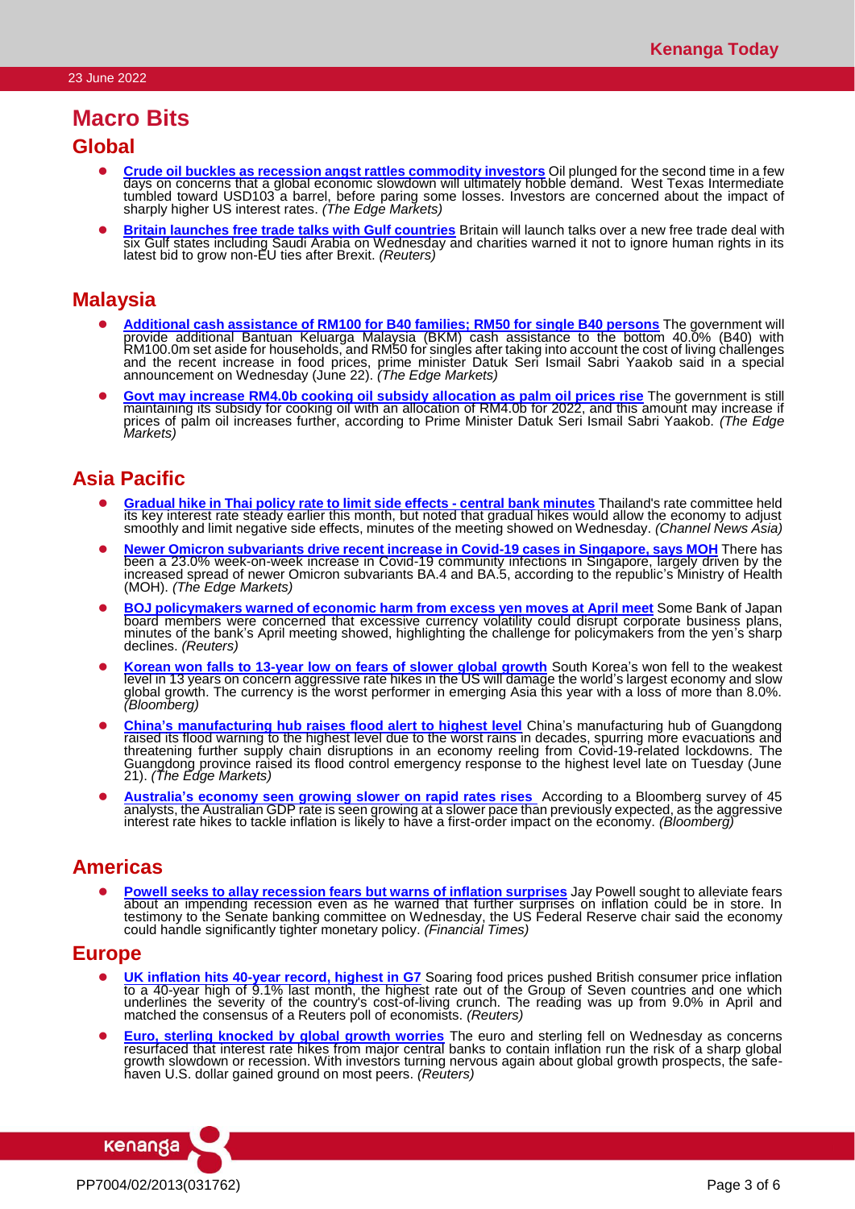# **Macro Bits**

## **Global**

- **[Crude oil buckles as recession angst rattles commodity investors](https://www.theedgemarkets.com/article/crude-oil-buckles-recession-angst-rattles-commodity-investors)** Oil plunged for the second time in a few days on concerns that a global economic slowdown will ultimately hobble demand. West Texas Intermediate tumbled toward USD103 a barrel, before paring some losses. Investors are concerned about the impact of sharply higher US interest rates. *(The Edge Markets)*
- **Eitain launches free trade talks with Gulf countries** Britain will launch talks over a new free trade deal with six Gulf states including Saudi Arabia on Wednesday and charities warned it not to ignore human rights in its latest bid to grow non-EU ties after Brexit. *(Reuters)*

## **Malaysia**

- ⚫ **[Additional cash assistance of RM100 for B40 families; RM50 for single B40 persons](https://www.theedgemarkets.com/article/pm-announces-additional-bantuan-keluarga-malaysia-cash-aid-rm100-b40-families-single-b40)** The government will provide additional Bantuan Keluarga Malaysia (BKM) cash assistance to the bottom 40.0% (B40) with RM100.0m set aside for households, and RM50 for singles after taking into account the cost of living challenges and the recent increase in food prices, prime minister Datuk Seri Ismail Sabri Yaakob said in a special announcement on Wednesday (June 22). *(The Edge Markets)*
- ⚫ **[Govt may increase RM4.0b cooking oil subsidy allocation as palm oil prices rise](https://www.theedgemarkets.com/article/pm-govt-keep-2022-cooking-oil-subsidy-allocation-rm4-bil)** The government is still maintaining its subsidy for cooking oil with an allocation of RM4.0b for 2022, and this amount may increase if prices of palm oil increases further, according to Prime Minister Datuk Seri Ismail Sabri Yaakob. *(The Edge Markets)*

# **Asia Pacific**

- ⚫ **[Gradual hike in Thai policy rate to limit side effects -](https://www.channelnewsasia.com/business/gradual-hike-thai-policy-rate-limit-side-effects-central-bank-minutes-2762226) central bank minutes** Thailand's rate committee held its key interest rate steady earlier this month, but noted that gradual hikes would allow the economy to adjust smoothly and limit negative side effects, minutes of the meeting showed on Wednesday. *(Channel News Asia)*
- ⚫ **[Newer Omicron subvariants drive recent increase in Covid-19 cases in Singapore, says MOH](https://www.theedgemarkets.com/article/newer-omicron-subvariants-drive-recent-increase-covid19-cases-singapore-says-moh)** There has been a 23.0% week-on-week increase in Covid-19 community infections in Singapore, largely driven by the increased spread of newer Omicron subvariants BA.4 and BA.5, according to the republic's Ministry of Health (MOH). *(The Edge Markets)*
- ⚫ **[BOJ policymakers warned of economic harm from excess yen moves at April meet](https://www.reuters.com/article/japan-economy-boj/boj-policymakers-warned-of-economic-harm-from-excess-yen-moves-at-april-meet-idUSKBN2O3014)** Some Bank of Japan board members were concerned that excessive currency volatility could disrupt corporate business plans, minutes of the bank's April meeting showed, highlighting the challenge for policymakers from the yen's sharp declines. *(Reuters)*
- ⚫ **[Korean won falls to 13-year low on fears of slower global growth](https://www.bloomberg.com/news/articles/2022-06-22/korean-won-falls-to-13-year-low-on-fears-of-slower-global-growth#xj4y7vzkg)** South Korea's won fell to the weakest level in 13 years on concern aggressive rate hikes in the US will damage the world's largest economy and slow global growth. The currency is the worst performer in emerging Asia this year with a loss of more than 8.0%. *(Bloomberg)*
- **[China's manufacturing hub raises flood alert to highest level](https://www.theedgemarkets.com/article/chinas-manufacturing-hub-raises-flood-alert-highest-level)** China's manufacturing hub of Guangdong raised its flood warning to the highest level due to the worst rains in decades, spurring more evacuations and threatening further supply chain disruptions in an economy reeling from Covid-19-related lockdowns. The Guangdong province raised its flood control emergency response to the highest level late on Tuesday (June 21). *(The Edge Markets)*
- ⚫ **[Australia's economy seen growing slower on rapid rates rises](https://www.bloomberg.com/news/articles/2022-06-22/australia-s-economy-seen-growing-slower-as-interest-rates-rise)** According to a Bloomberg survey of 45 analysts, the Australian GDP rate is seen growing at a slower pace than previously expected, as the aggressive interest rate hikes to tackle inflation is likely to have a first-order impact on the economy. *(Bloomberg)*

## **Americas**

⚫ **[Powell seeks to allay recession fears but warns of inflation surprises](https://www.ft.com/content/3e3dedc4-5ece-4a35-84c7-e3e670c29c72)** Jay Powell sought to alleviate fears about an impending recession even as he warned that further surprises on inflation could be in store. In testimony to the Senate banking committee on Wednesday, the US Federal Reserve chair said the economy could handle significantly tighter monetary policy. *(Financial Times)*

## **Europe**

- ⚫ **[UK inflation hits 40-year record, highest in G7](https://www.reuters.com/markets/europe/uk-inflation-hits-91-may-2022-06-22/)** Soaring food prices pushed British consumer price inflation to a 40-year high of 9.1% last month, the highest rate out of the Group of Seven countries and one which underlines the severity of the country's cost-of-living crunch. The reading was up from 9.0% in April and matched the consensus of a Reuters poll of economists. *(Reuters)*
- ⚫ **[Euro, sterling knocked by global growth worries](https://www.reuters.com/markets/europe/yen-bruised-japans-rates-gap-widens-with-rest-world-2022-06-22/)** The euro and sterling fell on Wednesday as concerns resurfaced that interest rate hikes from major central banks to contain inflation run the risk of a sharp global growth slowdown or recession. With investors turning nervous again about global growth prospects, the safehaven U.S. dollar gained ground on most peers. *(Reuters)*

PP7004/02/2013(031762) Page 3 of 6

kenanga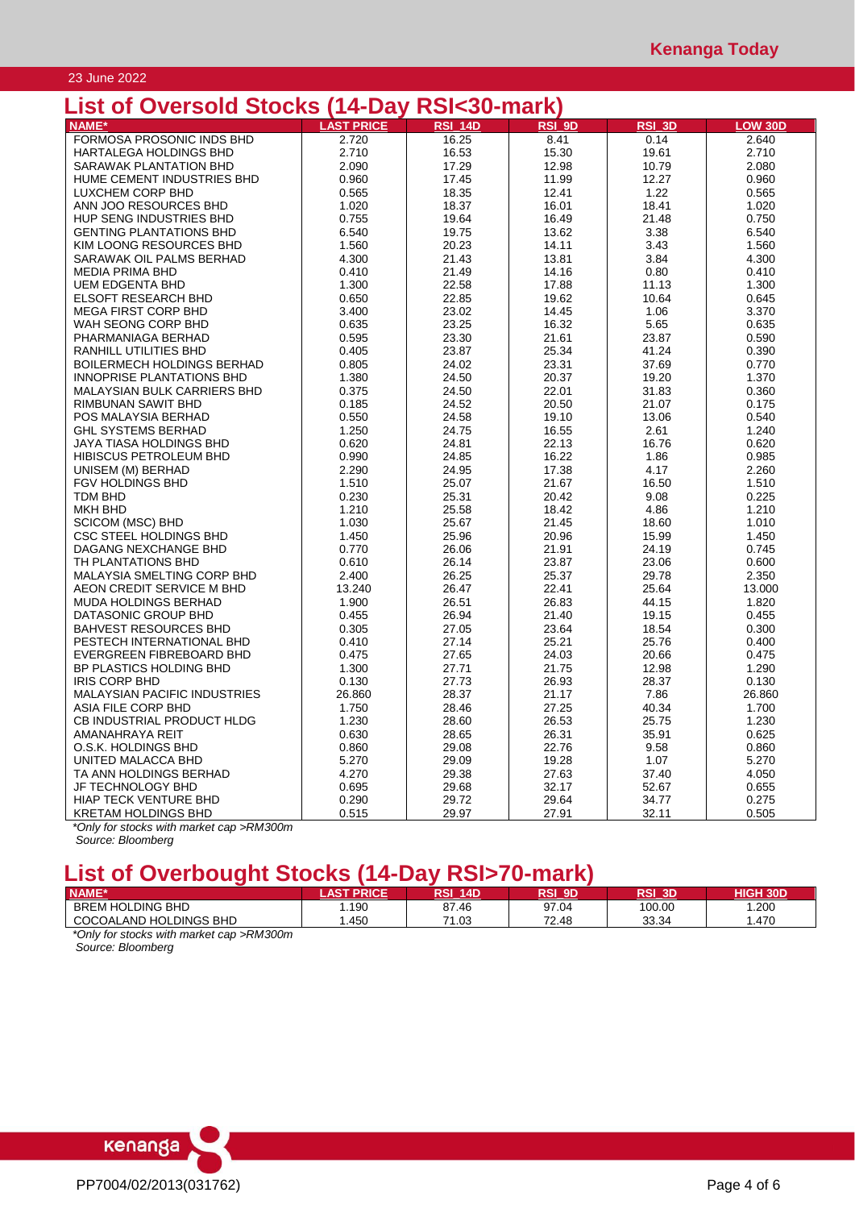### 23 June 2022

# **List of Oversold Stocks (14-Day RSI<30-mark)**

| בואן טו טעפו איט ווא די די               | 14-Day            | <u>ווידעטראוטאוו</u> |        |        |                |
|------------------------------------------|-------------------|----------------------|--------|--------|----------------|
| <b>NAME*</b>                             | <b>LAST PRICE</b> | <b>RSI 14D</b>       | RSI_9D | RSI_3D | <b>LOW 30D</b> |
| FORMOSA PROSONIC INDS BHD                | 2.720             | 16.25                | 8.41   | 0.14   | 2.640          |
| HARTALEGA HOLDINGS BHD                   | 2.710             | 16.53                | 15.30  | 19.61  | 2.710          |
| SARAWAK PLANTATION BHD                   | 2.090             | 17.29                | 12.98  | 10.79  | 2.080          |
| HUME CEMENT INDUSTRIES BHD               | 0.960             | 17.45                | 11.99  | 12.27  | 0.960          |
| LUXCHEM CORP BHD                         | 0.565             | 18.35                | 12.41  | 1.22   | 0.565          |
| ANN JOO RESOURCES BHD                    | 1.020             | 18.37                | 16.01  | 18.41  | 1.020          |
|                                          |                   |                      |        |        |                |
| HUP SENG INDUSTRIES BHD                  | 0.755             | 19.64                | 16.49  | 21.48  | 0.750          |
| <b>GENTING PLANTATIONS BHD</b>           | 6.540             | 19.75                | 13.62  | 3.38   | 6.540          |
| KIM LOONG RESOURCES BHD                  | 1.560             | 20.23                | 14.11  | 3.43   | 1.560          |
| SARAWAK OIL PALMS BERHAD                 | 4.300             | 21.43                | 13.81  | 3.84   | 4.300          |
| <b>MEDIA PRIMA BHD</b>                   | 0.410             | 21.49                | 14.16  | 0.80   | 0.410          |
| <b>UEM EDGENTA BHD</b>                   | 1.300             | 22.58                | 17.88  | 11.13  | 1.300          |
| <b>ELSOFT RESEARCH BHD</b>               | 0.650             | 22.85                | 19.62  | 10.64  | 0.645          |
| <b>MEGA FIRST CORP BHD</b>               | 3.400             | 23.02                | 14.45  | 1.06   | 3.370          |
| WAH SEONG CORP BHD                       | 0.635             | 23.25                | 16.32  | 5.65   | 0.635          |
| PHARMANIAGA BERHAD                       | 0.595             | 23.30                | 21.61  | 23.87  | 0.590          |
| RANHILL UTILITIES BHD                    | 0.405             | 23.87                | 25.34  | 41.24  | 0.390          |
| <b>BOILERMECH HOLDINGS BERHAD</b>        | 0.805             | 24.02                | 23.31  | 37.69  | 0.770          |
| INNOPRISE PLANTATIONS BHD                | 1.380             | 24.50                | 20.37  | 19.20  | 1.370          |
| <b>MALAYSIAN BULK CARRIERS BHD</b>       | 0.375             | 24.50                | 22.01  | 31.83  | 0.360          |
| RIMBUNAN SAWIT BHD                       | 0.185             | 24.52                | 20.50  | 21.07  | 0.175          |
| POS MALAYSIA BERHAD                      | 0.550             | 24.58                | 19.10  | 13.06  | 0.540          |
| <b>GHL SYSTEMS BERHAD</b>                | 1.250             | 24.75                | 16.55  | 2.61   | 1.240          |
|                                          |                   |                      |        |        |                |
| JAYA TIASA HOLDINGS BHD                  | 0.620             | 24.81                | 22.13  | 16.76  | 0.620          |
| HIBISCUS PETROLEUM BHD                   | 0.990             | 24.85                | 16.22  | 1.86   | 0.985          |
| UNISEM (M) BERHAD                        | 2.290             | 24.95                | 17.38  | 4.17   | 2.260          |
| FGV HOLDINGS BHD                         | 1.510             | 25.07                | 21.67  | 16.50  | 1.510          |
| <b>TDM BHD</b>                           | 0.230             | 25.31                | 20.42  | 9.08   | 0.225          |
| <b>MKH BHD</b>                           | 1.210             | 25.58                | 18.42  | 4.86   | 1.210          |
| <b>SCICOM (MSC) BHD</b>                  | 1.030             | 25.67                | 21.45  | 18.60  | 1.010          |
| CSC STEEL HOLDINGS BHD                   | 1.450             | 25.96                | 20.96  | 15.99  | 1.450          |
| DAGANG NEXCHANGE BHD                     | 0.770             | 26.06                | 21.91  | 24.19  | 0.745          |
| TH PLANTATIONS BHD                       | 0.610             | 26.14                | 23.87  | 23.06  | 0.600          |
| MALAYSIA SMELTING CORP BHD               | 2.400             | 26.25                | 25.37  | 29.78  | 2.350          |
| AEON CREDIT SERVICE M BHD                | 13.240            | 26.47                | 22.41  | 25.64  | 13.000         |
| <b>MUDA HOLDINGS BERHAD</b>              | 1.900             | 26.51                | 26.83  | 44.15  | 1.820          |
| DATASONIC GROUP BHD                      | 0.455             | 26.94                | 21.40  | 19.15  | 0.455          |
| <b>BAHVEST RESOURCES BHD</b>             | 0.305             | 27.05                | 23.64  | 18.54  | 0.300          |
| PESTECH INTERNATIONAL BHD                | 0.410             | 27.14                | 25.21  | 25.76  | 0.400          |
| EVERGREEN FIBREBOARD BHD                 | 0.475             | 27.65                | 24.03  | 20.66  | 0.475          |
| BP PLASTICS HOLDING BHD                  | 1.300             | 27.71                | 21.75  | 12.98  | 1.290          |
| <b>IRIS CORP BHD</b>                     | 0.130             | 27.73                | 26.93  | 28.37  | 0.130          |
| <b>MALAYSIAN PACIFIC INDUSTRIES</b>      | 26.860            | 28.37                | 21.17  | 7.86   | 26.860         |
| ASIA FILE CORP BHD                       | 1.750             | 28.46                | 27.25  | 40.34  | 1.700          |
|                                          |                   |                      |        |        |                |
| CB INDUSTRIAL PRODUCT HLDG               | 1.230             | 28.60                | 26.53  | 25.75  | 1.230          |
| AMANAHRAYA REIT                          | 0.630             | 28.65                | 26.31  | 35.91  | 0.625          |
| O.S.K. HOLDINGS BHD                      | 0.860             | 29.08                | 22.76  | 9.58   | 0.860          |
| UNITED MALACCA BHD                       | 5.270             | 29.09                | 19.28  | 1.07   | 5.270          |
| TA ANN HOLDINGS BERHAD                   | 4.270             | 29.38                | 27.63  | 37.40  | 4.050          |
| JF TECHNOLOGY BHD                        | 0.695             | 29.68                | 32.17  | 52.67  | 0.655          |
| <b>HIAP TECK VENTURE BHD</b>             | 0.290             | 29.72                | 29.64  | 34.77  | 0.275          |
| <b>KRETAM HOLDINGS BHD</b>               | 0.515             | 29.97                | 27.91  | 32.11  | 0.505          |
| *Only for stocks with market can -PM300m |                   |                      |        |        |                |

*\*Only for stocks with market cap >RM300m Source: Bloomberg*

# **List of Overbought Stocks (14-Day RSI>70-mark)**

| <b>NAME*</b>                                   | <b>AST PRICE</b> | จรเ<br><b>14D</b> | RSI 9D | RSI 3D' | <b>HIGH 30D</b> |
|------------------------------------------------|------------------|-------------------|--------|---------|-----------------|
| <b>BREM HOLDING BHD</b>                        | .190             | 87.46             | 97.04  | 100.00  | 1.200           |
| COCOALAND HOLDINGS BHD                         | .450             | 71.03             | 72.48  | 33.34   | .470            |
| *Only for stocks with market can $\sim$ PM200m |                  |                   |        |         |                 |

*\*Only for stocks with market cap >RM300m Source: Bloomberg*

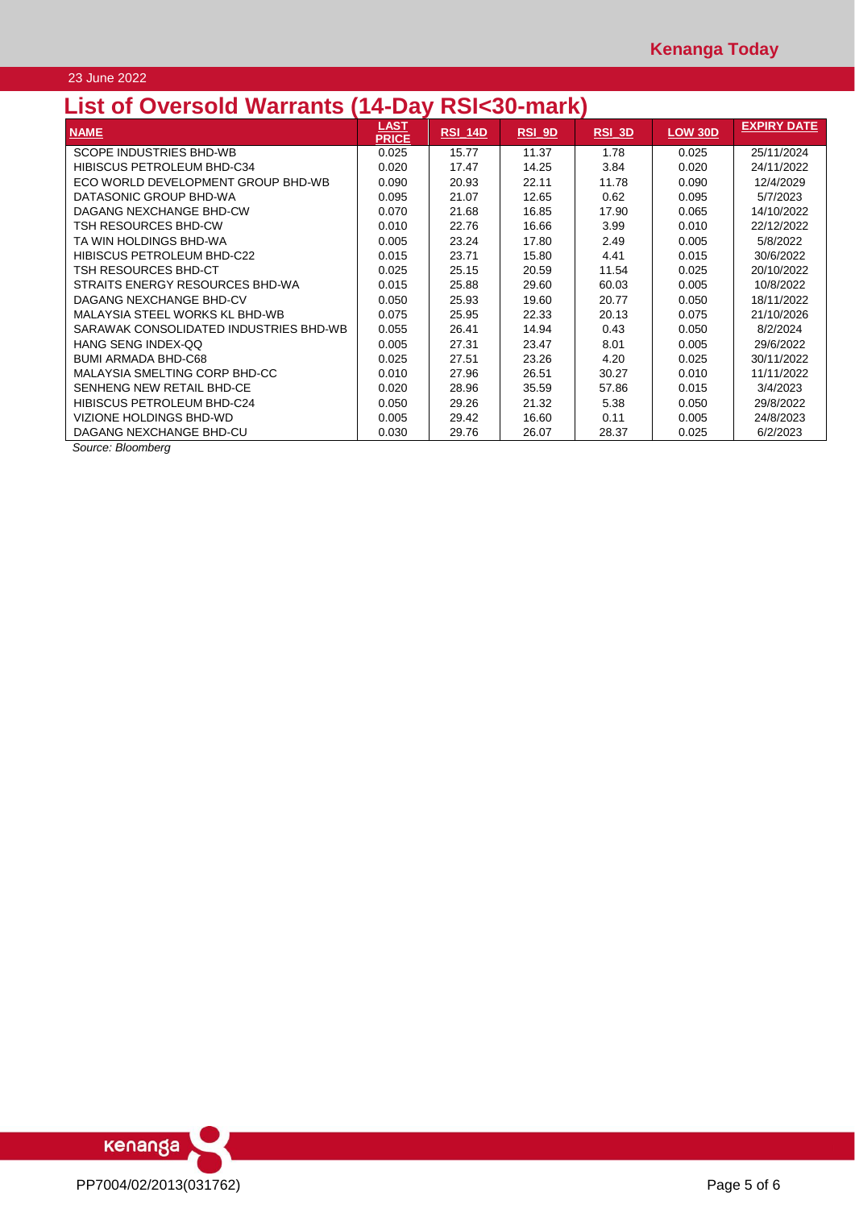### 23 June 2022

# **List of Oversold Warrants (14-Day RSI<30-mark)**

| ,,,,,,,,,,,                            |                      |                | ---<br>  |          |                |                    |
|----------------------------------------|----------------------|----------------|----------|----------|----------------|--------------------|
| <b>NAME</b>                            | LAST<br><b>PRICE</b> | <b>RSI 14D</b> | $RSI$ 9D | $RSI$ 3D | <b>LOW 30D</b> | <b>EXPIRY DATE</b> |
| SCOPE INDUSTRIES BHD-WB                | 0.025                | 15.77          | 11.37    | 1.78     | 0.025          | 25/11/2024         |
| HIBISCUS PETROLEUM BHD-C34             | 0.020                | 17.47          | 14.25    | 3.84     | 0.020          | 24/11/2022         |
| ECO WORLD DEVELOPMENT GROUP BHD-WB     | 0.090                | 20.93          | 22.11    | 11.78    | 0.090          | 12/4/2029          |
| DATASONIC GROUP BHD-WA                 | 0.095                | 21.07          | 12.65    | 0.62     | 0.095          | 5/7/2023           |
| DAGANG NEXCHANGE BHD-CW                | 0.070                | 21.68          | 16.85    | 17.90    | 0.065          | 14/10/2022         |
| TSH RESOURCES BHD-CW                   | 0.010                | 22.76          | 16.66    | 3.99     | 0.010          | 22/12/2022         |
| TA WIN HOLDINGS BHD-WA                 | 0.005                | 23.24          | 17.80    | 2.49     | 0.005          | 5/8/2022           |
| HIBISCUS PETROLEUM BHD-C22             | 0.015                | 23.71          | 15.80    | 4.41     | 0.015          | 30/6/2022          |
| TSH RESOURCES BHD-CT                   | 0.025                | 25.15          | 20.59    | 11.54    | 0.025          | 20/10/2022         |
| STRAITS ENERGY RESOURCES BHD-WA        | 0.015                | 25.88          | 29.60    | 60.03    | 0.005          | 10/8/2022          |
| DAGANG NEXCHANGE BHD-CV                | 0.050                | 25.93          | 19.60    | 20.77    | 0.050          | 18/11/2022         |
| MALAYSIA STEEL WORKS KL BHD-WB         | 0.075                | 25.95          | 22.33    | 20.13    | 0.075          | 21/10/2026         |
| SARAWAK CONSOLIDATED INDUSTRIES BHD-WB | 0.055                | 26.41          | 14.94    | 0.43     | 0.050          | 8/2/2024           |
| HANG SENG INDEX-OO                     | 0.005                | 27.31          | 23.47    | 8.01     | 0.005          | 29/6/2022          |
| <b>BUMI ARMADA BHD-C68</b>             | 0.025                | 27.51          | 23.26    | 4.20     | 0.025          | 30/11/2022         |
| MALAYSIA SMELTING CORP BHD-CC          | 0.010                | 27.96          | 26.51    | 30.27    | 0.010          | 11/11/2022         |
| SENHENG NEW RETAIL BHD-CE              | 0.020                | 28.96          | 35.59    | 57.86    | 0.015          | 3/4/2023           |
| <b>HIBISCUS PETROLEUM BHD-C24</b>      | 0.050                | 29.26          | 21.32    | 5.38     | 0.050          | 29/8/2022          |
| VIZIONE HOLDINGS BHD-WD                | 0.005                | 29.42          | 16.60    | 0.11     | 0.005          | 24/8/2023          |
| DAGANG NEXCHANGE BHD-CU                | 0.030                | 29.76          | 26.07    | 28.37    | 0.025          | 6/2/2023           |

*Source: Bloomberg*